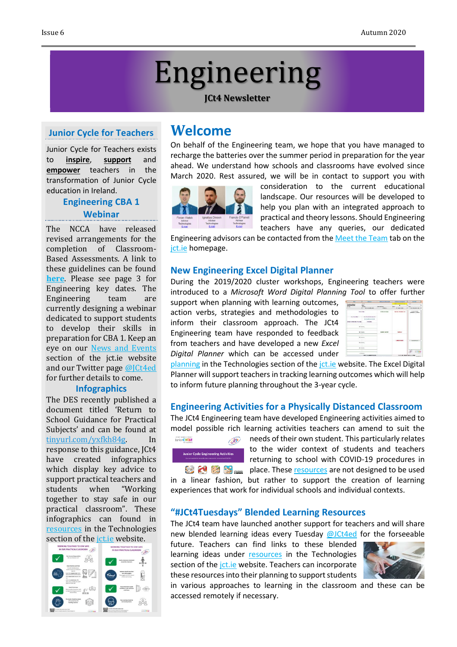# Engineering

#### **JCt4 Newsletter**

## **Junior Cycle for Teachers**

Junior Cycle for Teachers exists to **inspire**, **support** and **empower** teachers in the transformation of Junior Cycle education in Ireland.

# **Engineering CBA 1 Webinar**

The NCCA have released revised arrangements for the completion of Classroom-Based Assessments. A link to these guidelines can be found **[here](https://ncca.ie/media/4684/ncca_cbas_for_student_cohort_2018-2021.pdf)**. Please see page 3 for Engineering key dates. The Engineering team are currently designing a webinar dedicated to support students to develop their skills in preparation for CBA 1. Keep an eye on our News and [Events](https://www.jct.ie/technologies/news_events) section of the jct.ie website and our Twitter page [@JCt4ed](https://twitter.com/JCt4ed) for further details to come.

#### **Infographics**

The DES recently published a document titled 'Return to School Guidance for Practical Subjects' and can be found at [tinyurl.com/yxfkh84g.](https://t.co/coqh577PD8?amp=1) In response to this guidance, JCt4 have created infographics which display key advice to support practical teachers and students when "Working together to stay safe in our practical classroom". These infographics can found in [resources](https://www.jct.ie/technologies/resources_engineering) in the Technologies



# **Welcome**

On behalf of the Engineering team, we hope that you have managed to recharge the batteries over the summer period in preparation for the year ahead. We understand how schools and classrooms have evolved since March 2020. Rest assured, we will be in contact to support you with



consideration to the current educational landscape. Our resources will be developed to help you plan with an integrated approach to practical and theory lessons. Should Engineering teachers have any queries, our dedicated

Engineering advisors can be contacted from th[e Meet the Team](http://jct.ie/home/meet_the_team) tab on the [jct.ie](http://jct.ie/home/home.php) homepage.

#### **New Engineering Excel Digital Planner**

During the 2019/2020 cluster workshops, Engineering teachers were introduced to a *Microsoft Word Digital Planning Tool* to offer further

support when planning with learning outcomes, action verbs, strategies and methodologies to inform their classroom approach. The JCt4 Engineering team have responded to feedback from teachers and have developed a new *Excel Digital Planner* which can be accessed under



[planning](https://www.jct.ie/technologies/planning_engineering) in the Technologies section of the *jct.ie* website. The Excel Digital Planner will support teachers in tracking learning outcomes which will help to inform future planning throughout the 3-year cycle.

#### **Engineering Activities for a Physically Distanced Classroom**

The JCt4 Engineering team have developed Engineering activities aimed to model possible rich learning activities teachers can amend to suit the



needs of their own student. This particularly relates to the wider context of students and teachers returning to school with COVID-19 procedures in **blace by place.** These **[resources](https://www.jct.ie/technologies/resources_engineering)** are not designed to be used in a linear fashion, but rather to support the creation of learning

experiences that work for individual schools and individual contexts.

#### **"#JCt4Tuesdays" Blended Learning Resources**

The JCt4 team have launched another support for teachers and will share new blended learning ideas every Tuesday [@JCt4ed](https://twitter.com/JCt4ed) for the forseeable

future. Teachers can find links to these blended learning ideas under [resources](https://www.jct.ie/technologies/resources_engineering) in the Technologies section of the [jct.ie](https://www.jct.ie/home/home.php) website. Teachers can incorporate these resources into their planning to support students



in various approaches to learning in the classroom and these can be accessed remotely if necessary.